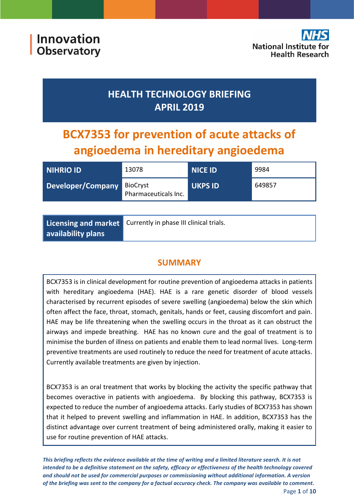## **HEALTH TECHNOLOGY BRIEFING APRIL 2019**

# **BCX7353 for prevention of acute attacks of angioedema in hereditary angioedema**

| <b>NIHRIO ID</b>  | 13078                            | <b>NICE ID</b> | 9984   |
|-------------------|----------------------------------|----------------|--------|
| Developer/Company | BioCryst<br>Pharmaceuticals Inc. | <b>UKPS ID</b> | 649857 |

|                    | Licensing and market Currently in phase III clinical trials. |
|--------------------|--------------------------------------------------------------|
| availability plans |                                                              |

## **SUMMARY**

BCX7353 is in clinical development for routine prevention of angioedema attacks in patients with hereditary angioedema (HAE). HAE is a rare genetic disorder of blood vessels characterised by recurrent episodes of severe swelling (angioedema) below the skin which often affect the face, throat, stomach, genitals, hands or feet, causing discomfort and pain. HAE may be life threatening when the swelling occurs in the throat as it can obstruct the airways and impede breathing. HAE has no known cure and the goal of treatment is to minimise the burden of illness on patients and enable them to lead normal lives. Long-term preventive treatments are used routinely to reduce the need for treatment of acute attacks. Currently available treatments are given by injection.

BCX7353 is an oral treatment that works by blocking the activity the specific pathway that becomes overactive in patients with angioedema. By blocking this pathway, BCX7353 is expected to reduce the number of angioedema attacks. Early studies of BCX7353 has shown that it helped to prevent swelling and inflammation in HAE. In addition, BCX7353 has the distinct advantage over current treatment of being administered orally, making it easier to use for routine prevention of HAE attacks.

*This briefing reflects the evidence available at the time of writing and a limited literature search. It is not intended to be a definitive statement on the safety, efficacy or effectiveness of the health technology covered and should not be used for commercial purposes or commissioning without additional information. A version of the briefing was sent to the company for a factual accuracy check. The company was available to comment.* Page **1** of **10**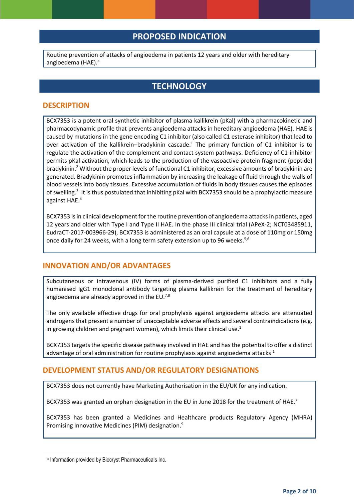## **PROPOSED INDICATION**

Routine prevention of attacks of angioedema in patients 12 years and older with hereditary angioedema (HAE). a

## **TECHNOLOGY**

#### **DESCRIPTION**

BCX7353 is a potent oral synthetic inhibitor of plasma kallikrein (pKal) with a pharmacokinetic and pharmacodynamic profile that prevents angioedema attacks in hereditary angioedema (HAE). HAE is caused by mutations in the gene encoding C1 inhibitor (also called C1 esterase inhibitor) that lead to over activation of the kallikrein–bradykinin cascade.<sup>1</sup> The primary function of C1 inhibitor is to regulate the activation of the complement and contact system pathways. Deficiency of C1-inhibitor permits pKal activation, which leads to the production of the vasoactive protein fragment (peptide) bradykinin.<sup>2</sup> Without the proper levels of functional C1 inhibitor, excessive amounts of bradykinin are generated. Bradykinin promotes inflammation by increasing the leakage of fluid through the walls of blood vessels into body tissues. Excessive accumulation of fluids in body tissues causes the episodes of swelling.<sup>3</sup> It is thus postulated that inhibiting pKal with BCX7353 should be a prophylactic measure against HAE.<sup>4</sup>

BCX7353 is in clinical development for the routine prevention of angioedema attacks in patients, aged 12 years and older with Type I and Type II HAE. In the phase III clinical trial (APeX-2; NCT03485911, EudraCT-2017-003966-29), BCX7353 is administered as an oral capsule at a dose of 110mg or 150mg once daily for 24 weeks, with a long term safety extension up to 96 weeks.<sup>5,6</sup>

#### **INNOVATION AND/OR ADVANTAGES**

Subcutaneous or intravenous (IV) forms of plasma-derived purified C1 inhibitors and a fully humanised IgG1 monoclonal antibody targeting plasma kallikrein for the treatment of hereditary angioedema are already approved in the EU. $^{7,8}$ 

The only available effective drugs for oral prophylaxis against angioedema attacks are attenuated androgens that present a number of unacceptable adverse effects and several contraindications (e.g. in growing children and pregnant women), which limits their clinical use.<sup>1</sup>

BCX7353 targets the specific disease pathway involved in HAE and has the potential to offer a distinct advantage of oral administration for routine prophylaxis against angioedema attacks  $1$ 

#### **DEVELOPMENT STATUS AND/OR REGULATORY DESIGNATIONS**

BCX7353 does not currently have Marketing Authorisation in the EU/UK for any indication.

BCX7353 was granted an orphan designation in the EU in June 2018 for the treatment of HAE.<sup>7</sup>

BCX7353 has been granted a Medicines and Healthcare products Regulatory Agency (MHRA) Promising Innovative Medicines (PIM) designation.<sup>9</sup>

**.** 

a Information provided by Biocryst Pharmaceuticals Inc.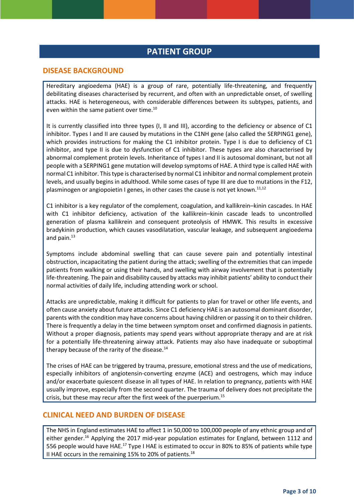## **PATIENT GROUP**

#### **DISEASE BACKGROUND**

Hereditary angioedema (HAE) is a group of rare, potentially life-threatening, and frequently debilitating diseases characterised by recurrent, and often with an unpredictable onset, of swelling attacks. HAE is heterogeneous, with considerable differences between its subtypes, patients, and even within the same patient over time.<sup>10</sup>

It is currently classified into three types (I, II and III), according to the deficiency or absence of C1 inhibitor. Types I and II are caused by mutations in the C1NH gene (also called the SERPING1 gene), which provides instructions for making the C1 inhibitor protein. Type I is due to deficiency of C1 inhibitor, and type II is due to dysfunction of C1 inhibitor. These types are also characterised by abnormal complement protein levels. Inheritance of types I and II is autosomal dominant, but not all people with a SERPING1 gene mutation will develop symptoms of HAE. A third type is called HAE with normal C1 inhibitor. This type is characterised by normal C1 inhibitor and normal complement protein levels, and usually begins in adulthood. While some cases of type III are due to mutations in the F12, plasminogen or angiopoietin I genes, in other cases the cause is not yet known.<sup>11,12</sup>

C1 inhibitor is a key regulator of the complement, coagulation, and kallikrein–kinin cascades. In HAE with C1 inhibitor deficiency, activation of the kallikrein–kinin cascade leads to uncontrolled generation of plasma kallikrein and consequent proteolysis of HMWK. This results in excessive bradykinin production, which causes vasodilatation, vascular leakage, and subsequent angioedema and pain. 13

Symptoms include abdominal swelling that can cause severe pain and potentially intestinal obstruction, incapacitating the patient during the attack; swelling of the extremities that can impede patients from walking or using their hands, and swelling with airway involvement that is potentially life-threatening. The pain and disability caused by attacks may inhibit patients' ability to conduct their normal activities of daily life, including attending work or school.

Attacks are unpredictable, making it difficult for patients to plan for travel or other life events, and often cause anxiety about future attacks. Since C1 deficiency HAE is an autosomal dominant disorder, parents with the condition may have concerns about having children or passing it on to their children. There is frequently a delay in the time between symptom onset and confirmed diagnosis in patients. Without a proper diagnosis, patients may spend years without appropriate therapy and are at risk for a potentially life-threatening airway attack. Patients may also have inadequate or suboptimal therapy because of the rarity of the disease.<sup>14</sup>

The crises of HAE can be triggered by trauma, pressure, emotional stress and the use of medications, especially inhibitors of angiotensin-converting enzyme (ACE) and oestrogens, which may induce and/or exacerbate quiescent disease in all types of HAE. In relation to pregnancy, patients with HAE usually improve, especially from the second quarter. The trauma of delivery does not precipitate the crisis, but these may recur after the first week of the puerperium.<sup>15</sup>

#### **CLINICAL NEED AND BURDEN OF DISEASE**

The NHS in England estimates HAE to affect 1 in 50,000 to 100,000 people of any ethnic group and of either gender.<sup>16</sup> Applying the 2017 mid-year population estimates for England, between 1112 and 556 people would have HAE.<sup>17</sup> Type I HAE is estimated to occur in 80% to 85% of patients while type II HAE occurs in the remaining 15% to 20% of patients.<sup>18</sup>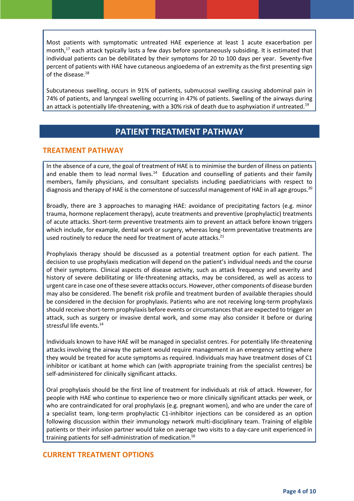Most patients with symptomatic untreated HAE experience at least 1 acute exacerbation per month,<sup>17</sup> each attack typically lasts a few days before spontaneously subsiding. It is estimated that individual patients can be debilitated by their symptoms for 20 to 100 days per year. Seventy-five percent of patients with HAE have cutaneous angioedema of an extremity as the first presenting sign of the disease. 18

Subcutaneous swelling, occurs in 91% of patients, submucosal swelling causing abdominal pain in 74% of patients, and laryngeal swelling occurring in 47% of patients. Swelling of the airways during an attack is potentially life-threatening, with a 30% risk of death due to asphyxiation if untreated.<sup>19</sup>

## **PATIENT TREATMENT PATHWAY**

#### **TREATMENT PATHWAY**

In the absence of a cure, the goal of treatment of HAE is to minimise the burden of illness on patients and enable them to lead normal lives.<sup>14</sup> Education and counselling of patients and their family members, family physicians, and consultant specialists including paediatricians with respect to diagnosis and therapy of HAE is the cornerstone of successful management of HAE in all age groups.<sup>20</sup>

Broadly, there are 3 approaches to managing HAE: avoidance of precipitating factors (e.g. minor trauma, hormone replacement therapy), acute treatments and preventive (prophylactic) treatments of acute attacks. Short-term preventive treatments aim to prevent an attack before known triggers which include, for example, dental work or surgery, whereas long-term preventative treatments are used routinely to reduce the need for treatment of acute attacks. $^{21}$ 

Prophylaxis therapy should be discussed as a potential treatment option for each patient. The decision to use prophylaxis medication will depend on the patient's individual needs and the course of their symptoms. Clinical aspects of disease activity, such as attack frequency and severity and history of severe debilitating or life-threatening attacks, may be considered, as well as access to urgent care in case one of these severe attacks occurs. However, other components of disease burden may also be considered. The benefit risk profile and treatment burden of available therapies should be considered in the decision for prophylaxis. Patients who are not receiving long-term prophylaxis should receive short-term prophylaxis before events or circumstances that are expected to trigger an attack, such as surgery or invasive dental work, and some may also consider it before or during stressful life events. 14

Individuals known to have HAE will be managed in specialist centres. For potentially life-threatening attacks involving the airway the patient would require management in an emergency setting where they would be treated for acute symptoms as required. Individuals may have treatment doses of C1 inhibitor or icatibant at home which can (with appropriate training from the specialist centres) be self-administered for clinically significant attacks.

Oral prophylaxis should be the first line of treatment for individuals at risk of attack. However, for people with HAE who continue to experience two or more clinically significant attacks per week, or who are contraindicated for oral prophylaxis (e.g. pregnant women), and who are under the care of a specialist team, long-term prophylactic C1-inhibitor injections can be considered as an option following discussion within their immunology network multi-disciplinary team. Training of eligible patients or their infusion partner would take on average two visits to a day-care unit experienced in training patients for self-administration of medication. 16

#### **CURRENT TREATMENT OPTIONS**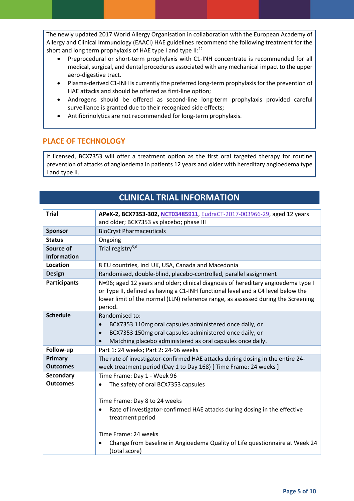The newly updated 2017 World Allergy Organisation in collaboration with the European Academy of Allergy and Clinical Immunology (EAACI) HAE guidelines recommend the following treatment for the short and long term prophylaxis of HAE type I and type II:<sup>22</sup>

- Preprocedural or short-term prophylaxis with C1-INH concentrate is recommended for all medical, surgical, and dental procedures associated with any mechanical impact to the upper aero-digestive tract.
- Plasma-derived C1-INH is currently the preferred long-term prophylaxis for the prevention of HAE attacks and should be offered as first-line option;
- Androgens should be offered as second-line long-term prophylaxis provided careful surveillance is granted due to their recognized side effects;
- Antifibrinolytics are not recommended for long-term prophylaxis.

#### **PLACE OF TECHNOLOGY**

If licensed, BCX7353 will offer a treatment option as the first oral targeted therapy for routine prevention of attacks of angioedema in patients 12 years and older with hereditary angioedema type I and type II.

#### **CLINICAL TRIAL INFORMATION Trial APeX-2, BCX7353-302, [NCT03485911](https://clinicaltrials.gov/ct2/show/NCT03485911)**[, EudraCT-2017-003966-29,](https://www.clinicaltrialsregister.eu/ctr-search/trial/2017-003966-29/DE) aged 12 years and older; BCX7353 vs placebo; phase III **Sponsor** BioCryst Pharmaceuticals **Status Ongoing Source of Information** Trial registry $5,6$ **Location** 8 EU countries, incl UK, USA, Canada and Macedonia **Design Randomised, double-blind, placebo-controlled, parallel assignment Participants** | N=96; aged 12 years and older; clinical diagnosis of hereditary angioedema type I or Type II, defined as having a C1-INH functional level and a C4 level below the lower limit of the normal (LLN) reference range, as assessed during the Screening period. **Schedule** Randomised to: BCX7353 110mg oral capsules administered once daily, or BCX7353 150mg oral capsules administered once daily, or Matching placebo administered as oral capsules once daily. **Follow-up Part 1: 24 weeks; Part 2: 24-96 weeks Primary Outcomes** The rate of investigator-confirmed HAE attacks during dosing in the entire 24 week treatment period (Day 1 to Day 168) [ Time Frame: 24 weeks ] **Secondary**  Time Frame: Day 1 - Week 96

**Outcomes** • The safety of oral BCX7353 capsules Time Frame: Day 8 to 24 weeks Rate of investigator-confirmed HAE attacks during dosing in the effective treatment period Time Frame: 24 weeks Change from baseline in Angioedema Quality of Life questionnaire at Week 24 (total score)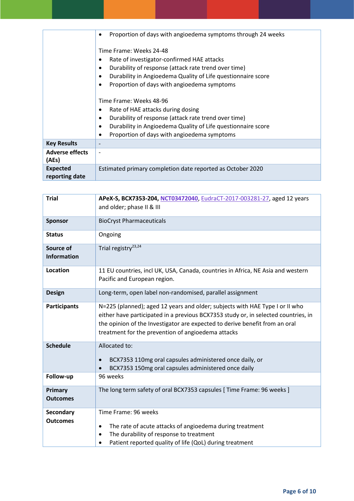|                        | Proportion of days with angioedema symptoms through 24 weeks<br>٠         |  |
|------------------------|---------------------------------------------------------------------------|--|
|                        | Time Frame: Weeks 24-48                                                   |  |
|                        | Rate of investigator-confirmed HAE attacks                                |  |
|                        | Durability of response (attack rate trend over time)                      |  |
|                        | Durability in Angioedema Quality of Life questionnaire score<br>$\bullet$ |  |
|                        | Proportion of days with angioedema symptoms                               |  |
|                        |                                                                           |  |
|                        | Time Frame: Weeks 48-96                                                   |  |
|                        | Rate of HAE attacks during dosing                                         |  |
|                        | Durability of response (attack rate trend over time)<br>$\bullet$         |  |
|                        | Durability in Angioedema Quality of Life questionnaire score<br>٠         |  |
|                        | Proportion of days with angioedema symptoms<br>٠                          |  |
| <b>Key Results</b>     |                                                                           |  |
| <b>Adverse effects</b> |                                                                           |  |
| (AEs)                  |                                                                           |  |
| <b>Expected</b>        | Estimated primary completion date reported as October 2020                |  |
| reporting date         |                                                                           |  |

| <b>Trial</b>                    | APeX-S, BCX7353-204, NCT03472040, EudraCT-2017-003281-27, aged 12 years<br>and older; phase II & III                                                                                                                                                                                                    |
|---------------------------------|---------------------------------------------------------------------------------------------------------------------------------------------------------------------------------------------------------------------------------------------------------------------------------------------------------|
| <b>Sponsor</b>                  | <b>BioCryst Pharmaceuticals</b>                                                                                                                                                                                                                                                                         |
| <b>Status</b>                   | Ongoing                                                                                                                                                                                                                                                                                                 |
| Source of<br><b>Information</b> | Trial registry <sup>23,24</sup>                                                                                                                                                                                                                                                                         |
| <b>Location</b>                 | 11 EU countries, incl UK, USA, Canada, countries in Africa, NE Asia and western<br>Pacific and European region.                                                                                                                                                                                         |
| <b>Design</b>                   | Long-term, open label non-randomised, parallel assignment                                                                                                                                                                                                                                               |
| <b>Participants</b>             | N=225 (planned); aged 12 years and older; subjects with HAE Type I or II who<br>either have participated in a previous BCX7353 study or, in selected countries, in<br>the opinion of the Investigator are expected to derive benefit from an oral<br>treatment for the prevention of angioedema attacks |
| <b>Schedule</b>                 | Allocated to:<br>BCX7353 110mg oral capsules administered once daily, or<br>$\bullet$<br>BCX7353 150mg oral capsules administered once daily                                                                                                                                                            |
| Follow-up                       | 96 weeks                                                                                                                                                                                                                                                                                                |
| Primary<br><b>Outcomes</b>      | The long term safety of oral BCX7353 capsules [ Time Frame: 96 weeks ]                                                                                                                                                                                                                                  |
| Secondary                       | Time Frame: 96 weeks                                                                                                                                                                                                                                                                                    |
| <b>Outcomes</b>                 | The rate of acute attacks of angioedema during treatment<br>٠<br>The durability of response to treatment<br>$\bullet$<br>Patient reported quality of life (QoL) during treatment                                                                                                                        |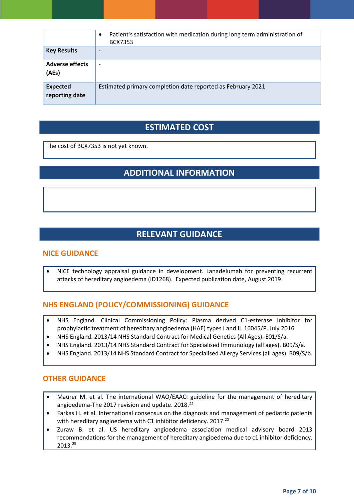|                                   | Patient's satisfaction with medication during long term administration of<br><b>BCX7353</b> |
|-----------------------------------|---------------------------------------------------------------------------------------------|
| <b>Key Results</b>                |                                                                                             |
| <b>Adverse effects</b><br>(AEs)   | $\overline{\phantom{0}}$                                                                    |
| <b>Expected</b><br>reporting date | Estimated primary completion date reported as February 2021                                 |

## **ESTIMATED COST**

The cost of BCX7353 is not yet known.

## **ADDITIONAL INFORMATION**

## **RELEVANT GUIDANCE**

#### **NICE GUIDANCE**

 NICE technology appraisal guidance in development. Lanadelumab for preventing recurrent attacks of hereditary angioedema (ID1268). Expected publication date, August 2019.

#### **NHS ENGLAND (POLICY/COMMISSIONING) GUIDANCE**

- NHS England. Clinical Commissioning Policy: Plasma derived C1-esterase inhibitor for prophylactic treatment of hereditary angioedema (HAE) types I and II. 16045/P. July 2016.
- NHS England. 2013/14 NHS Standard Contract for Medical Genetics (All Ages). E01/S/a.
- NHS England. 2013/14 NHS Standard Contract for Specialised Immunology (all ages). B09/S/a.
- NHS England. 2013/14 NHS Standard Contract for Specialised Allergy Services (all ages). B09/S/b.

#### **OTHER GUIDANCE**

- Maurer M. et al. The international WAO/EAACI guideline for the management of hereditary angioedema-The 2017 revision and update. 2018.<sup>22</sup>
- Farkas H. et al. International consensus on the diagnosis and management of pediatric patients with hereditary angioedema with C1 inhibitor deficiency. 2017.<sup>20</sup>
- Zuraw B. et al. US hereditary angioedema association medical advisory board 2013 recommendations for the management of hereditary angioedema due to c1 inhibitor deficiency. 2013.25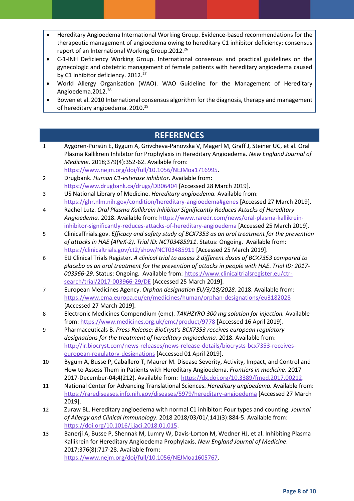- Hereditary Angioedema International Working Group. Evidence-based recommendations for the therapeutic management of angioedema owing to hereditary C1 inhibitor deficiency: consensus report of an International Working Group.2012.<sup>26</sup>
- C-1-INH Deficiency Working Group. International consensus and practical guidelines on the gynecologic and obstetric management of female patients with hereditary angioedema caused by C1 inhibitor deficiency. 2012.<sup>27</sup>
- World Allergy Organisation (WAO). WAO Guideline for the Management of Hereditary Angioedema.2012.<sup>28</sup>
- Bowen et al. 2010 International consensus algorithm for the diagnosis, therapy and management of hereditary angioedema. 2010.<sup>29</sup>

## **REFERENCES**

- 1 Aygören-Pürsün E, Bygum A, Grivcheva-Panovska V, Magerl M, Graff J, Steiner UC, et al. Oral Plasma Kallikrein Inhibitor for Prophylaxis in Hereditary Angioedema. *New England Journal of Medicine*. 2018;379(4):352-62. Available from: [https://www.nejm.org/doi/full/10.1056/NEJMoa1716995.](https://www.nejm.org/doi/full/10.1056/NEJMoa1716995)
- 2 Drugbank. *Human C1-esterase inhibitor.* Available from: <https://www.drugbank.ca/drugs/DB06404> [Accessed 28 March 2019].
- 3 US National Library of Medicine. *Hereditary angioedema.* Available from: <https://ghr.nlm.nih.gov/condition/hereditary-angioedema#genes> [Accessed 27 March 2019].
- 4 Rachel Lutz. *Oral Plasma Kallikrein Inhibitor Significantly Reduces Attacks of Hereditary Angioedema.* 2018. Available from[: https://www.raredr.com/news/oral-plasma-kallikrein](https://www.raredr.com/news/oral-plasma-kallikrein-inhibitor-significantly-reduces-attacks-of-hereditary-angioedema)[inhibitor-significantly-reduces-attacks-of-hereditary-angioedema](https://www.raredr.com/news/oral-plasma-kallikrein-inhibitor-significantly-reduces-attacks-of-hereditary-angioedema) [Accessed 25 March 2019].
- 5 ClinicalTrials.gov. *Efficacy and safety study of BCX7353 as an oral treatment for the prevention of attacks in HAE (APeX-2)*. *Trial ID: NCT03485911*. Status: Ongoing. Available from: <https://clinicaltrials.gov/ct2/show/NCT03485911> [Accessed 25 March 2019].
- 6 EU Clinical Trials Register. *A clinical trial to assess 2 different doses of BCX7353 compared to placebo as an oral treatment for the prevention of attacks in people with HAE*. *Trial ID: 2017- 003966-29*. Status: Ongoing. Available from: [https://www.clinicaltrialsregister.eu/ctr](https://www.clinicaltrialsregister.eu/ctr-search/trial/2017-003966-29/DE)[search/trial/2017-003966-29/DE](https://www.clinicaltrialsregister.eu/ctr-search/trial/2017-003966-29/DE) [Accessed 25 March 2019].
- 7 European Medicines Agency. *Orphan designation EU/3/18/2028.* 2018. Available from: <https://www.ema.europa.eu/en/medicines/human/orphan-designations/eu3182028> [Accessed 27 March 2019].
- 8 Electronic Medicines Compendium (emc). *TAKHZYRO 300 mg solution for injection.* Available from:<https://www.medicines.org.uk/emc/product/9778> [Accessed 16 April 2019].
- 9 Pharmaceuticals B. *Press Release: BioCryst's BCX7353 receives european regulatory designations for the treatment of hereditary angioedema.* 2018. Available from: [http://ir.biocryst.com/news-releases/news-release-details/biocrysts-bcx7353-receives](http://ir.biocryst.com/news-releases/news-release-details/biocrysts-bcx7353-receives-european-regulatory-designations)[european-regulatory-designations](http://ir.biocryst.com/news-releases/news-release-details/biocrysts-bcx7353-receives-european-regulatory-designations) [Accessed 01 April 2019].
- 10 Bygum A, Busse P, Caballero T, Maurer M. Disease Severity, Activity, Impact, and Control and How to Assess Them in Patients with Hereditary Angioedema. *Frontiers in medicine*. 2017 2017-December-04;4(212). Available from: [https://dx.doi.org/10.3389/fmed.2017.00212.](https://dx.doi.org/10.3389/fmed.2017.00212)
- 11 National Center for Advancing Translational Sciences. *Hereditary angioedema.* Available from: <https://rarediseases.info.nih.gov/diseases/5979/hereditary-angioedema> [Accessed 27 March 2019].
- 12 Zuraw BL. Hereditary angioedema with normal C1 inhibitor: Four types and counting. *Journal of Allergy and Clinical Immunology*. 2018 2018/03/01/;141(3):884-5. Available from: [https://doi.org/10.1016/j.jaci.2018.01.015.](https://doi.org/10.1016/j.jaci.2018.01.015)
- 13 Banerji A, Busse P, Shennak M, Lumry W, Davis-Lorton M, Wedner HJ, et al. Inhibiting Plasma Kallikrein for Hereditary Angioedema Prophylaxis. *New England Journal of Medicine*. 2017;376(8):717-28. Available from: [https://www.nejm.org/doi/full/10.1056/NEJMoa1605767.](https://www.nejm.org/doi/full/10.1056/NEJMoa1605767)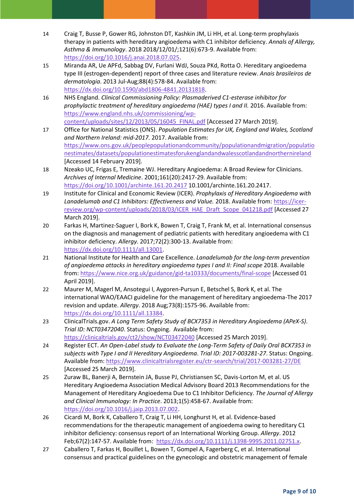- 14 Craig T, Busse P, Gower RG, Johnston DT, Kashkin JM, Li HH, et al. Long-term prophylaxis therapy in patients with hereditary angioedema with C1 inhibitor deficiency. *Annals of Allergy, Asthma & Immunology*. 2018 2018/12/01/;121(6):673-9. Available from: [https://doi.org/10.1016/j.anai.2018.07.025.](https://doi.org/10.1016/j.anai.2018.07.025)
- 15 Miranda AR, Ue APFd, Sabbag DV, Furlani WdJ, Souza PKd, Rotta O. Hereditary angioedema type III (estrogen-dependent) report of three cases and literature review. *Anais brasileiros de dermatologia*. 2013 Jul-Aug;88(4):578-84. Available from: [https://dx.doi.org/10.1590/abd1806-4841.20131818.](https://dx.doi.org/10.1590/abd1806-4841.20131818)
- 16 NHS England. *Clinical Commissioning Policy: Plasmaderived C1-esterase inhibitor for prophylactic treatment of hereditary angioedema (HAE) types I and II.* 2016. Available from: [https://www.england.nhs.uk/commissioning/wp](https://www.england.nhs.uk/commissioning/wp-content/uploads/sites/12/2013/05/16045_FINAL.pdf)[content/uploads/sites/12/2013/05/16045\\_FINAL.pdf](https://www.england.nhs.uk/commissioning/wp-content/uploads/sites/12/2013/05/16045_FINAL.pdf) [Accessed 27 March 2019].
- 17 Office for National Statistics (ONS). *Population Estimates for UK, England and Wales, Scotland and Northern Ireland: mid-2017.* 2017. Available from: [https://www.ons.gov.uk/peoplepopulationandcommunity/populationandmigration/populatio](https://www.ons.gov.uk/peoplepopulationandcommunity/populationandmigration/populationestimates/datasets/populationestimatesforukenglandandwalesscotlandandnorthernireland) [nestimates/datasets/populationestimatesforukenglandandwalesscotlandandnorthernireland](https://www.ons.gov.uk/peoplepopulationandcommunity/populationandmigration/populationestimates/datasets/populationestimatesforukenglandandwalesscotlandandnorthernireland) [Accessed 14 February 2019].
- 18 Nzeako UC, Frigas E, Tremaine WJ. Hereditary Angioedema: A Broad Review for Clinicians. *Archives of Internal Medicine*. 2001;161(20):2417-29. Available from: <https://doi.org/10.1001/archinte.161.20.2417> 10.1001/archinte.161.20.2417.
- 19 Institute for Clinical and Economic Review (ICER). *Prophylaxis of Hereditary Angioedema with Lanadelumab and C1 Inhibitors: Effectiveness and Value.* 2018. Available from: [https://icer](https://icer-review.org/wp-content/uploads/2018/03/ICER_HAE_Draft_Scope_041218.pdf)[review.org/wp-content/uploads/2018/03/ICER\\_HAE\\_Draft\\_Scope\\_041218.pdf](https://icer-review.org/wp-content/uploads/2018/03/ICER_HAE_Draft_Scope_041218.pdf) [Accessed 27 March 2019].
- 20 Farkas H, Martinez-Saguer I, Bork K, Bowen T, Craig T, Frank M, et al. International consensus on the diagnosis and management of pediatric patients with hereditary angioedema with C1 inhibitor deficiency. *Allergy*. 2017;72(2):300-13. Available from: [https://dx.doi.org/10.1111/all.13001.](https://dx.doi.org/10.1111/all.13001)
- 21 National Institute for Health and Care Excellence. *Lanadelumab for the long-term prevention of angioedema attacks in hereditary angioedema types I and II: Final scope* 2018. Available from:<https://www.nice.org.uk/guidance/gid-ta10333/documents/final-scope> [Accessed 01 April 2019].
- 22 Maurer M, Magerl M, Ansotegui I, Aygoren-Pursun E, Betschel S, Bork K, et al. The international WAO/EAACI guideline for the management of hereditary angioedema-The 2017 revision and update. *Allergy*. 2018 Aug;73(8):1575-96. Available from: [https://dx.doi.org/10.1111/all.13384.](https://dx.doi.org/10.1111/all.13384)
- 23 ClinicalTrials.gov. *A Long Term Safety Study of BCX7353 in Hereditary Angioedema (APeX-S)*. *Trial ID: NCT03472040*. Status: Ongoing. Available from: <https://clinicaltrials.gov/ct2/show/NCT03472040> [Accessed 25 March 2019].
- 24 Register ECT. *An Open-Label study to Evaluate the Long-Term Safety of Daily Oral BCX7353 in subjects with Type I and II Hereditary Angioedema*. *Trial ID: 2017-003281-27*. Status: Ongoing. Available from[: https://www.clinicaltrialsregister.eu/ctr-search/trial/2017-003281-27/DE](https://www.clinicaltrialsregister.eu/ctr-search/trial/2017-003281-27/DE) [Accessed 25 March 2019].
- 25 Zuraw BL, Banerji A, Bernstein JA, Busse PJ, Christiansen SC, Davis-Lorton M, et al. US Hereditary Angioedema Association Medical Advisory Board 2013 Recommendations for the Management of Hereditary Angioedema Due to C1 Inhibitor Deficiency. *The Journal of Allergy and Clinical Immunology: In Practice*. 2013;1(5):458-67. Available from: [https://doi.org/10.1016/j.jaip.2013.07.002.](https://doi.org/10.1016/j.jaip.2013.07.002)
- 26 Cicardi M, Bork K, Caballero T, Craig T, Li HH, Longhurst H, et al. Evidence-based recommendations for the therapeutic management of angioedema owing to hereditary C1 inhibitor deficiency: consensus report of an International Working Group. *Allergy*. 2012 Feb;67(2):147-57. Available from: [https://dx.doi.org/10.1111/j.1398-9995.2011.02751.x.](https://dx.doi.org/10.1111/j.1398-9995.2011.02751.x)
- 27 Caballero T, Farkas H, Bouillet L, Bowen T, Gompel A, Fagerberg C, et al. International consensus and practical guidelines on the gynecologic and obstetric management of female